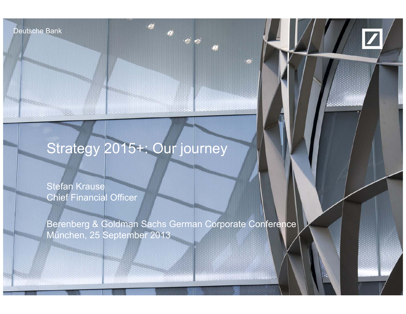Deutsche Bank

Deutsche Bank



# Strategy 2015+: Our journey

Stefan Krause Chief Financial Officer

**MARKETHE AGENCY** 

25 September 2013

Berenberg & Goldman Sachs German Corporate Conference München, 25 September 2013

financial transparency.

Stefan Krause, Berenberg & Goldman Sachs German Corporate Conference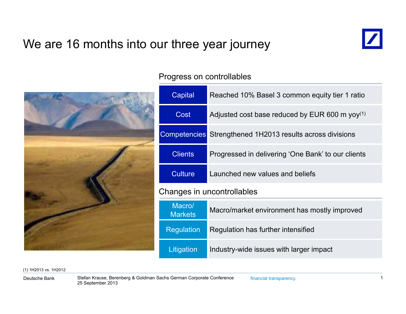### We are 16 months into our three year journey





Progress on controllables

| Capital                                                              | Reached 10% Basel 3 common equity tier 1 ratio             |  |  |  |
|----------------------------------------------------------------------|------------------------------------------------------------|--|--|--|
| Cost                                                                 | Adjusted cost base reduced by EUR 600 m yoy <sup>(1)</sup> |  |  |  |
| <b>Competencies</b> Strengthened 1H2013 results across divisions     |                                                            |  |  |  |
| <b>Clients</b><br>Progressed in delivering 'One Bank' to our clients |                                                            |  |  |  |
| <b>Culture</b>                                                       | Launched new values and beliefs                            |  |  |  |
| Changes in uncontrollables                                           |                                                            |  |  |  |
| Macro/<br><b>Markets</b>                                             | Macro/market environment has mostly improved               |  |  |  |
| <b>Regulation</b>                                                    | Regulation has further intensified                         |  |  |  |
| Litigation<br>Industry-wide issues with larger impact                |                                                            |  |  |  |

(1) 1H2013 vs. 1H2012

Deutsche Bank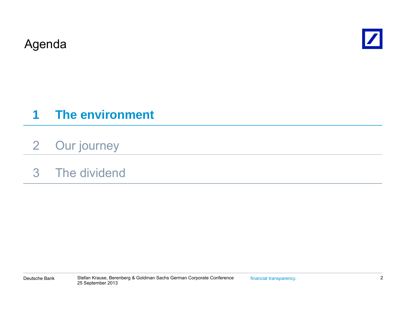Agenda



#### **1The environment**

- 2Our journey
- 3 The dividend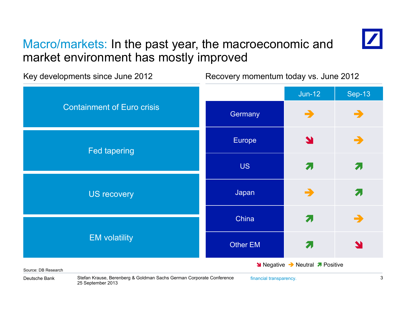### Macro/markets: In the past year, the macroeconomic and market environment has mostly improved



Jun-12 | Sep-13 Key developments since June 2012 Recovery momentum today vs. June 2012 **Germany** Y  $\overrightarrow{a}$   $\rightarrow$ Containment of Euro crisisEurope US $\mathbf S$  , and  $\mathbf Z$  $\overline{\mathbf{z}}$ Fed tapering Japan -China and  $\overline{z}$ ㅋ → US recovery Other EMM<sub>a</sub> EM volatility **Negative → Neutral** *A* Positive

Source: DB Research

Stefan Krause, Berenberg & Goldman Sachs German Corporate Conference financial transparency. 3 25 September 2013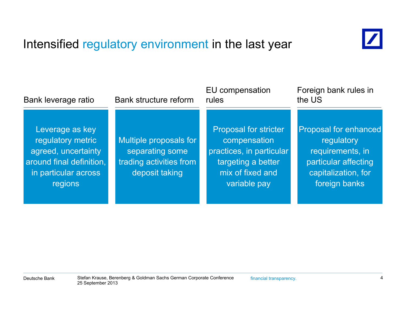## Intensified regulatory environment in the last year



| Bank leverage ratio                                                                                                               | <b>Bank structure reform</b>                                                           | EU compensation<br>rules                                                                                                           | Foreign bank rules in<br>the US                                                                                         |  |
|-----------------------------------------------------------------------------------------------------------------------------------|----------------------------------------------------------------------------------------|------------------------------------------------------------------------------------------------------------------------------------|-------------------------------------------------------------------------------------------------------------------------|--|
| Leverage as key<br>regulatory metric<br>agreed, uncertainty<br>around final definition,<br>in particular across<br><b>regions</b> | Multiple proposals for<br>separating some<br>trading activities from<br>deposit taking | <b>Proposal for stricter</b><br>compensation<br>practices, in particular<br>targeting a better<br>mix of fixed and<br>variable pay | Proposal for enhanced<br>regulatory<br>requirements, in<br>particular affecting<br>capitalization, for<br>foreign banks |  |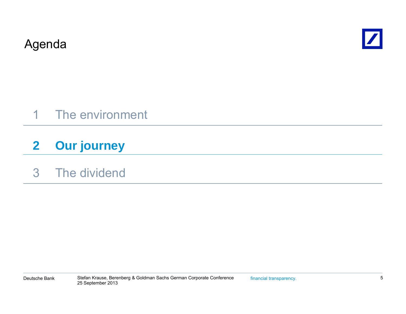Agenda



## 1 The environment

#### **2Our journey**

### 3 The dividend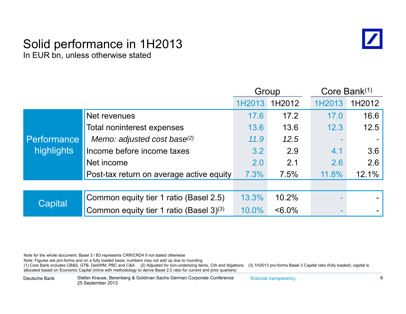#### Solid performance in 1H2013 In EUR bn, unless otherwise stated



|                                  |                                          | Group  |           | Core Bank(1) |        |
|----------------------------------|------------------------------------------|--------|-----------|--------------|--------|
|                                  |                                          | 1H2013 | 1H2012    | 1H2013       | 1H2012 |
|                                  | Net revenues                             | 17.6   | 17.2      | 17.0         | 16.6   |
|                                  | Total noninterest expenses               | 13.6   | 13.6      | 12.3         | 12.5   |
| <b>Performance</b><br>highlights | Memo: adjusted cost base(2)              | 11.9   | 12.5      |              |        |
|                                  | Income before income taxes               | 3.2    | 2.9       | 4.1          | 3.6    |
|                                  | Net income                               | 2.0    | 2.1       | 2.6          | 2.6    |
|                                  | Post-tax return on average active equity | 7.3%   | 7.5%      | 11.8%        | 12.1%  |
|                                  |                                          |        |           |              |        |
| Capital                          | Common equity tier 1 ratio (Basel 2.5)   | 13.3%  | 10.2%     |              |        |
|                                  | Common equity tier 1 ratio (Basel 3)(3)  | 10.0%  | $< 6.0\%$ |              |        |

Note for the whole document: Basel 3 / B3 represents CRR/CRD4 if not stated otherwise

Note: Figures are pro-forma and on a fully loaded basis; numbers may not add up due to rounding

<sup>(1)</sup> Core Bank includes CB&S, GTB, DeAWM, PBC and C&A (2) Adjusted for non-underlying items, CtA and litigations (3) 1H2013 pro-forma Basel 3 Capital ratio (fully loaded); capital is allocated based on Economic Capital (inline with methodology to derive Basel 2.5 ratio for current and prior quarters)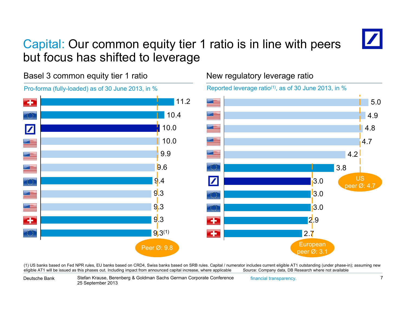## Capital: Our common equity tier 1 ratio is in line with peers but focus has shifted to leverage



Basel 3 common equity tier 1 ratio



#### New regulatory leverage ratio

Reported leverage ratio<sup>(1)</sup>, as of 30 June 2013, in  $%$ 



(1) US banks based on Fed NPR rules, EU banks based on CRD4, Swiss banks based on SRB rules. Capital / numerator includes current eligible AT1 outstanding (under phase-in); assuming new eligible AT1 will be issued as this phases out. Including impact from announced capital increase, where applicable Source: Company data, DB Research where not available

Deutsche Bank

Stefan Krause, Berenberg & Goldman Sachs German Corporate Conference financial transparency. 7 25 September 2013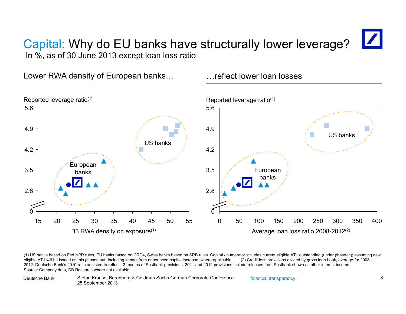### Capital: Why do EU banks have structurally lower leverage? In %, as of 30 June 2013 except loan loss ratio

Lower RWA density of European banks... The flect lower loan losses



(1) US banks based on Fed NPR rules, EU banks based on CRD4, Swiss banks based on SRB rules. Capital / numerator includes current eligible AT1 outstanding (under phase-in); assuming new<br>eligible AT1 will be issued as this 2012. Deutsche Bank's 2010 ratio adjusted to reflect 12 months of Postbank provisions, 2011 and 2012 provisions include releases from Postbank shown as other interest income Source: Company data, DB Research where not available

Stefan Krause, Berenberg & Goldman Sachs German Corporate Conference financial transparency. 25 September 2013 Deutsche Bank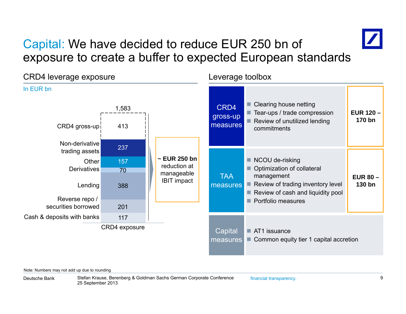### Capital: We have decided to reduce EUR 250 bn of exposure to create <sup>a</sup> buffer to expected European standards



Note: Numbers may not add up due to rounding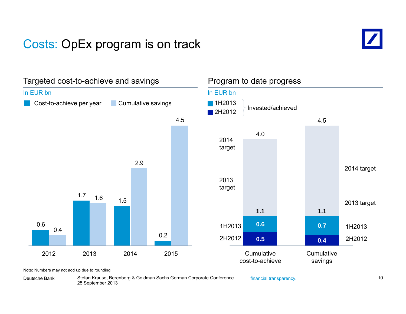### Costs: OpEx program is on track





Deutsche Bank

Stefan Krause, Berenberg & Goldman Sachs German Corporate Conference financial transparency. 10 25 September 2013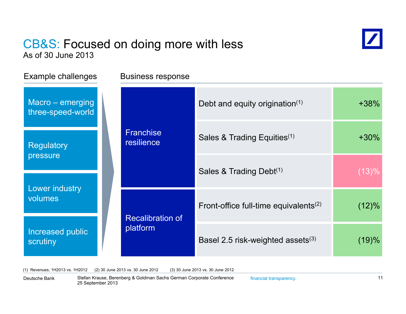#### CB&S: Focused on doing more with less As of 30 June 2013



Example challenges Business response Macro – emerging three-speed-world **Franchise** Debt and equity origination<sup> $(1)$ </sup>  $+38\%$ Sales & Trading Equities $^{(1)}$   $\qquad \qquad$  +30% **Regulatory** pressure resilienceSales & Trading Debt<sup> $(1)$ </sup> (13)% Lower industry volumesRecalibration of<br>platform Front-office full-time equivalents<sup>(2)</sup> (12)% Increased public scrutiny Basel 2.5 risk-weighted assets $(3)$  (19)%

(1) Revenues; 1H2013 vs. 1H2012 (2) 30 June 2013 vs. 30 June 2012 (3) 30 June 2013 vs. 30 June 2012

Deutsche Bank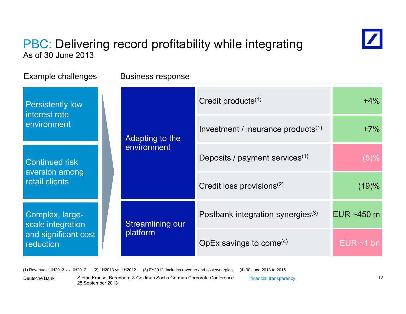### PBC: Delivering record profitability while integrating As of 30 June 2013



(1) Revenues; 1H2013 vs. 1H2012 (2) 1H2013 vs. 1H2012 (3) FY2012; includes revenue and cost synergies (4) 30 June 2013 to 2015

Deutsche Bank

Stefan Krause, Berenberg & Goldman Sachs German Corporate Conference financial transparency. 12 25 September 2013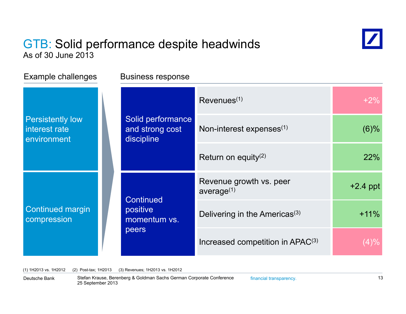#### GTB: Solid performance despite headwinds As of 30 June 2013



| Example challenges                                      | <b>Business response</b>                              |                                                   |            |
|---------------------------------------------------------|-------------------------------------------------------|---------------------------------------------------|------------|
| <b>Persistently low</b><br>interest rate<br>environment | Solid performance<br>and strong cost<br>discipline    | Revenues <sup>(1)</sup>                           | $+2%$      |
|                                                         |                                                       | Non-interest expenses <sup>(1)</sup>              | $(6)\%$    |
|                                                         |                                                       | Return on equity <sup>(2)</sup>                   | 22%        |
| <b>Continued margin</b><br>compression                  | <b>Continued</b><br>positive<br>momentum vs.<br>peers | Revenue growth vs. peer<br>average <sup>(1)</sup> | $+2.4$ ppt |
|                                                         |                                                       | Delivering in the Americas <sup>(3)</sup>         | $+11%$     |
|                                                         |                                                       | Increased competition in APAC <sup>(3)</sup>      | $(4)\%$    |

(1) 1H2013 vs. 1H2012 (2) Post-tax; 1H2013 (3) Revenues; 1H2013 vs. 1H2012

Stefan Krause, Berenberg & Goldman Sachs German Corporate Conference financial transparency. 13 25 September 2013 Deutsche Bank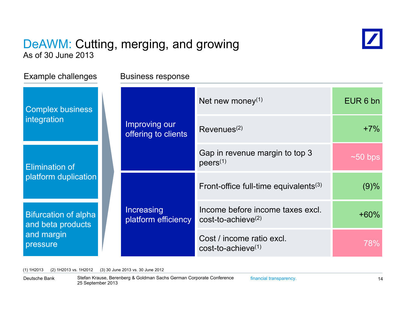#### DeAWM: Cutting, merging, and growing As of 30 June 2013



Example challenges Business response Net new money $^{(1)}$   $\qquad \qquad$  EUR 6 bn Improving our offering to clients  $\left\vert \text{Revenues}^{(2)} \right\vert$   $\left\vert \text{Revenues}^{(2)} \right\vert$   $\left\vert \text{Revenues}^{(3)} \right\vert$   $\left\vert \text{Imperbras}^{(4)} \right\vert$   $\left\vert \text{Imperbras}^{(5)} \right\vert$   $\left\vert \text{Imperbras}^{(6)} \right\vert$   $\left\vert \text{Imperbras}^{(7)} \right\vert$   $\left\vert \text{Imperbras}^{(7)} \right\vert$   $\left\vert \text{Imperbras}^{(8)} \right\vert$   $\left$ Complex business integration Gap in revenue margin to top 3 **Elimination of Elimination of Allen Contract Contract Property** (1) platform duplication  $~1$ ~50 bps Increasing Front-office full-time equivalents<sup>(3)</sup>  $(9)$ % platform duplication<br>Bifurcation of alpha Increasing Income before income taxes excl. <br>and beta products income before income taxes excl. <br> $+60\%$ 78%Cost / income ratio excl.<br>cost-to-achieve<sup>(1)</sup> **Bifurcation of alpha** and beta products and margin pressure cost-to-achieve(2)

(1) 1H2013 (2) 1H2013 vs. 1H2012 (3) 30 June 2013 vs. 30 June 2012

Deutsche Bank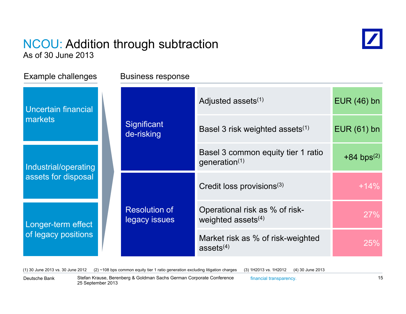#### NCOU: Addition through subtraction As of 30 June 2013



Example challenges Business response Uncertain financi markets

Industrial/operati assets for disposal assets

Longer-term effe of legacy position

| ain financial<br>S           |  | Significant<br>de-risking                         | Adjusted assets <sup>(1)</sup>                                   | $EUR(46)$ bn             |
|------------------------------|--|---------------------------------------------------|------------------------------------------------------------------|--------------------------|
|                              |  |                                                   | Basel 3 risk weighted assets <sup>(1)</sup>                      | $EUR(61)$ bn             |
| ial/operating                |  |                                                   | Basel 3 common equity tier 1 ratio<br>generation $(1)$           | $+84$ bps <sup>(2)</sup> |
| for disposal                 |  | <b>Resolution of</b><br>legacy issues             | Credit loss provisions <sup>(3)</sup>                            | $+14%$                   |
| -term effect<br>cy positions |  |                                                   | Operational risk as % of risk-<br>weighted assets <sup>(4)</sup> | 27%                      |
|                              |  | Market risk as % of risk-weighted<br>assets $(4)$ | 25%                                                              |                          |

(1) 30 June 2013 vs. 30 June 2012 (2) ~108 bps common equity tier 1 ratio generation excluding litigation charges (3) 1H2013 vs. 1H2012 (4) 30 June 2013

Deutsche Bank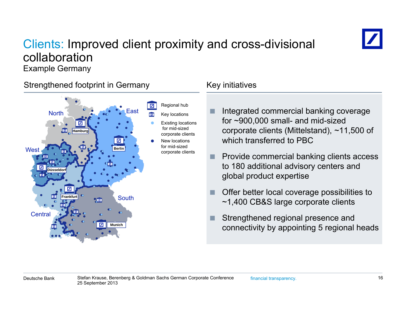### Clients: Improved client proximity and cross-divisional collaboration



Example Germany

#### Strengthened footprint in Germany Theorem Key initiatives



- F. Integrated commercial banking coverage for ~900,000 small- and mid-sized corporate clients (Mittelstand), ~11,500 of which transferred to PBC
- n. Provide commercial banking clients access to 180 additional advisory centers and global product expertise
- F. Offer better local coverage possibilities to ~1,400 CB&S large corporate clients
- F connectivity by appointing 5 regional heads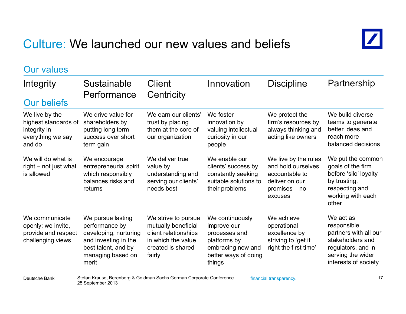### Culture: We launched our new values and beliefs



| <b>Our values</b>                                                                     |                                                                                                                                           |                                                                                                                         |                                                                                                                        |                                                                                                            |                                                                                                                                          |
|---------------------------------------------------------------------------------------|-------------------------------------------------------------------------------------------------------------------------------------------|-------------------------------------------------------------------------------------------------------------------------|------------------------------------------------------------------------------------------------------------------------|------------------------------------------------------------------------------------------------------------|------------------------------------------------------------------------------------------------------------------------------------------|
| Integrity<br><b>Our beliefs</b>                                                       | Sustainable<br>Performance                                                                                                                | <b>Client</b><br>Centricity                                                                                             | Innovation                                                                                                             | <b>Discipline</b>                                                                                          | Partnership                                                                                                                              |
| We live by the<br>highest standards of<br>integrity in<br>everything we say<br>and do | We drive value for<br>shareholders by<br>putting long term<br>success over short<br>term gain                                             | We earn our clients'<br>trust by placing<br>them at the core of<br>our organization                                     | We foster<br>innovation by<br>valuing intellectual<br>curiosity in our<br>people                                       | We protect the<br>firm's resources by<br>always thinking and<br>acting like owners                         | We build diverse<br>teams to generate<br>better ideas and<br>reach more<br>balanced decisions                                            |
| We will do what is<br>right – not just what<br>is allowed                             | We encourage<br>entrepreneurial spirit<br>which responsibly<br>balances risks and<br>returns                                              | We deliver true<br>value by<br>understanding and<br>serving our clients'<br>needs best                                  | We enable our<br>clients' success by<br>constantly seeking<br>suitable solutions to<br>their problems                  | We live by the rules<br>and hold ourselves<br>accountable to<br>deliver on our<br>promises – no<br>excuses | We put the common<br>goals of the firm<br>before 'silo' loyalty<br>by trusting,<br>respecting and<br>working with each<br>other          |
| We communicate<br>openly; we invite,<br>provide and respect<br>challenging views      | We pursue lasting<br>performance by<br>developing, nurturing<br>and investing in the<br>best talent, and by<br>managing based on<br>merit | We strive to pursue<br>mutually beneficial<br>client relationships<br>in which the value<br>created is shared<br>fairly | We continuously<br>improve our<br>processes and<br>platforms by<br>embracing new and<br>better ways of doing<br>things | We achieve<br>operational<br>excellence by<br>striving to 'get it<br>right the first time'                 | We act as<br>responsible<br>partners with all our<br>stakeholders and<br>regulators, and in<br>serving the wider<br>interests of society |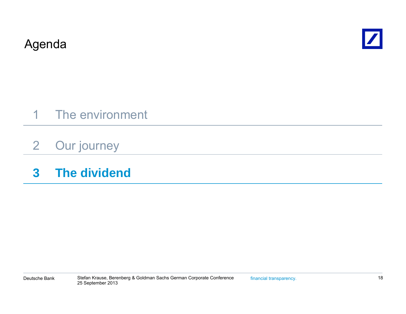Agenda



- 1 The environment
- 2Our journey
- **3 The dividend**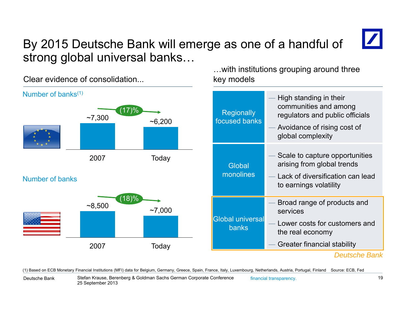### By 2015 Deutsche Bank will emerge as one of a handful of strong global universal banks...

Clear evidence of consolidation.

 key models Number of banks<sup>(1)</sup> High standing in their the standing in their their theorem  $\blacksquare$  High standing in their (17)%  $\sim$ 7,300  $\sim$  6,200 Regionally<br> $\sim$ 6,200 focused banks communities and among regulators and public officials Avoidance of rising cost of global complexity 2007 Today **Global** monolines Scale to capture opportunities arising from global trends ks **Example 20 Lack of diversification can lead** — Lack of diversification can lead N b fb kNumber of bansto earnings volatility Broad range of products and services $(18)%$  $\sim$ 8,500  $\sim$ 7,000 Global universal banks Lower costs for customers and the real economy Greater financial stability *Deutsche Bank*2007Today

(1) Based on ECB Monetary Financial Institutions (MFI) data for Belgium, Germany, Greece, Spain, France, Italy, Luxembourg, Netherlands, Austria, Portugal, Finland Source: ECB, Fed

…with institutions grouping around three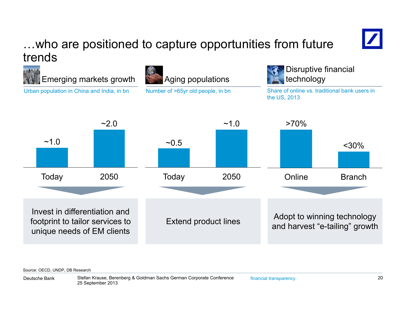### …who are positioned to capture opportunities from future trends



Source: OECD, UNDP, DB Research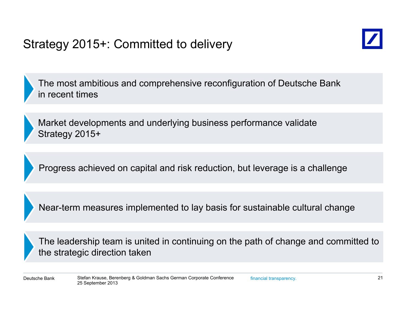## Strategy 2015+: Committed to delivery



The most ambitious and comprehensive reconfiguration of Deutsche Bank in recent times

Market developments and underlying business performance validate Strategy 2015+

Progress achieved on capital and risk reduction, but leverage is a challenge

Near-term measures implemented to lay basis for sustainable cultural change

The leadership team is united in continuing on the path of change and committed to the strategic direction taken